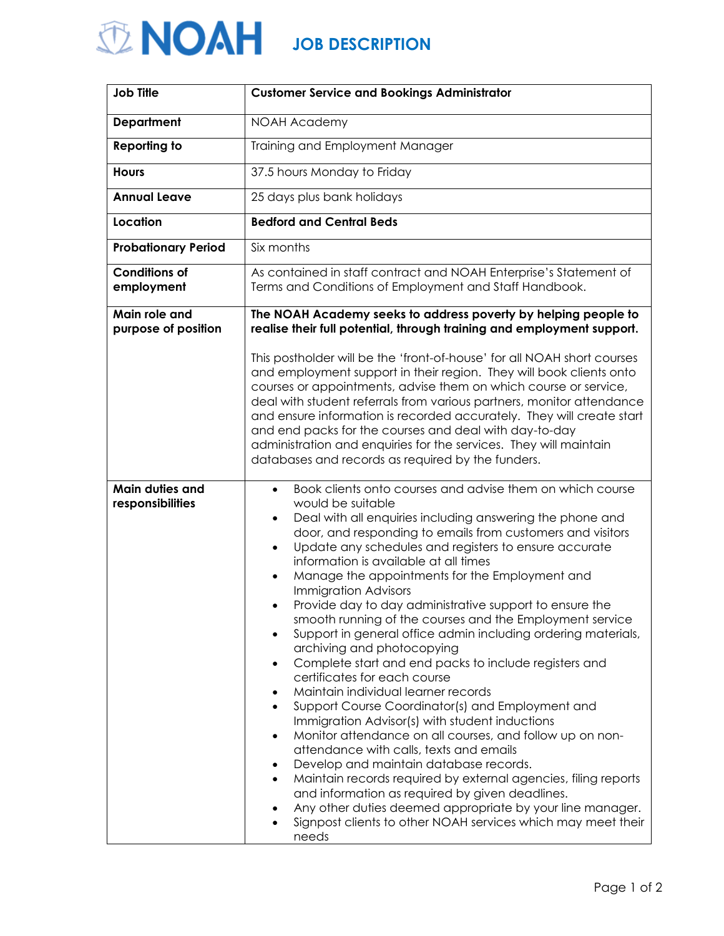## **JOB DESCRIPTION**

| <b>Job Title</b>                     | <b>Customer Service and Bookings Administrator</b>                                                                                                                                                                                                                                                                                                                                                                                                                                                                                                                                                                                                                                                                                                                                                                                                                                                                                                                                                                                                                                                                                                                                                                                                                                                                                                                                |
|--------------------------------------|-----------------------------------------------------------------------------------------------------------------------------------------------------------------------------------------------------------------------------------------------------------------------------------------------------------------------------------------------------------------------------------------------------------------------------------------------------------------------------------------------------------------------------------------------------------------------------------------------------------------------------------------------------------------------------------------------------------------------------------------------------------------------------------------------------------------------------------------------------------------------------------------------------------------------------------------------------------------------------------------------------------------------------------------------------------------------------------------------------------------------------------------------------------------------------------------------------------------------------------------------------------------------------------------------------------------------------------------------------------------------------------|
| <b>Department</b>                    | <b>NOAH Academy</b>                                                                                                                                                                                                                                                                                                                                                                                                                                                                                                                                                                                                                                                                                                                                                                                                                                                                                                                                                                                                                                                                                                                                                                                                                                                                                                                                                               |
| <b>Reporting to</b>                  | Training and Employment Manager                                                                                                                                                                                                                                                                                                                                                                                                                                                                                                                                                                                                                                                                                                                                                                                                                                                                                                                                                                                                                                                                                                                                                                                                                                                                                                                                                   |
| <b>Hours</b>                         | 37.5 hours Monday to Friday                                                                                                                                                                                                                                                                                                                                                                                                                                                                                                                                                                                                                                                                                                                                                                                                                                                                                                                                                                                                                                                                                                                                                                                                                                                                                                                                                       |
| <b>Annual Leave</b>                  | 25 days plus bank holidays                                                                                                                                                                                                                                                                                                                                                                                                                                                                                                                                                                                                                                                                                                                                                                                                                                                                                                                                                                                                                                                                                                                                                                                                                                                                                                                                                        |
| Location                             | <b>Bedford and Central Beds</b>                                                                                                                                                                                                                                                                                                                                                                                                                                                                                                                                                                                                                                                                                                                                                                                                                                                                                                                                                                                                                                                                                                                                                                                                                                                                                                                                                   |
| <b>Probationary Period</b>           | Six months                                                                                                                                                                                                                                                                                                                                                                                                                                                                                                                                                                                                                                                                                                                                                                                                                                                                                                                                                                                                                                                                                                                                                                                                                                                                                                                                                                        |
| <b>Conditions of</b><br>employment   | As contained in staff contract and NOAH Enterprise's Statement of<br>Terms and Conditions of Employment and Staff Handbook.                                                                                                                                                                                                                                                                                                                                                                                                                                                                                                                                                                                                                                                                                                                                                                                                                                                                                                                                                                                                                                                                                                                                                                                                                                                       |
| Main role and<br>purpose of position | The NOAH Academy seeks to address poverty by helping people to<br>realise their full potential, through training and employment support.<br>This postholder will be the 'front-of-house' for all NOAH short courses<br>and employment support in their region. They will book clients onto<br>courses or appointments, advise them on which course or service,<br>deal with student referrals from various partners, monitor attendance<br>and ensure information is recorded accurately. They will create start<br>and end packs for the courses and deal with day-to-day<br>administration and enquiries for the services. They will maintain<br>databases and records as required by the funders.                                                                                                                                                                                                                                                                                                                                                                                                                                                                                                                                                                                                                                                                              |
| Main duties and<br>responsibilities  | Book clients onto courses and advise them on which course<br>$\bullet$<br>would be suitable<br>Deal with all enquiries including answering the phone and<br>$\bullet$<br>door, and responding to emails from customers and visitors<br>Update any schedules and registers to ensure accurate<br>$\bullet$<br>information is available at all times<br>Manage the appointments for the Employment and<br>$\bullet$<br><b>Immigration Advisors</b><br>Provide day to day administrative support to ensure the<br>smooth running of the courses and the Employment service<br>Support in general office admin including ordering materials,<br>٠<br>archiving and photocopying<br>Complete start and end packs to include registers and<br>$\bullet$<br>certificates for each course<br>Maintain individual learner records<br>$\bullet$<br>Support Course Coordinator(s) and Employment and<br>$\bullet$<br>Immigration Advisor(s) with student inductions<br>Monitor attendance on all courses, and follow up on non-<br>$\bullet$<br>attendance with calls, texts and emails<br>Develop and maintain database records.<br>Maintain records required by external agencies, filing reports<br>and information as required by given deadlines.<br>Any other duties deemed appropriate by your line manager.<br>Signpost clients to other NOAH services which may meet their<br>needs |